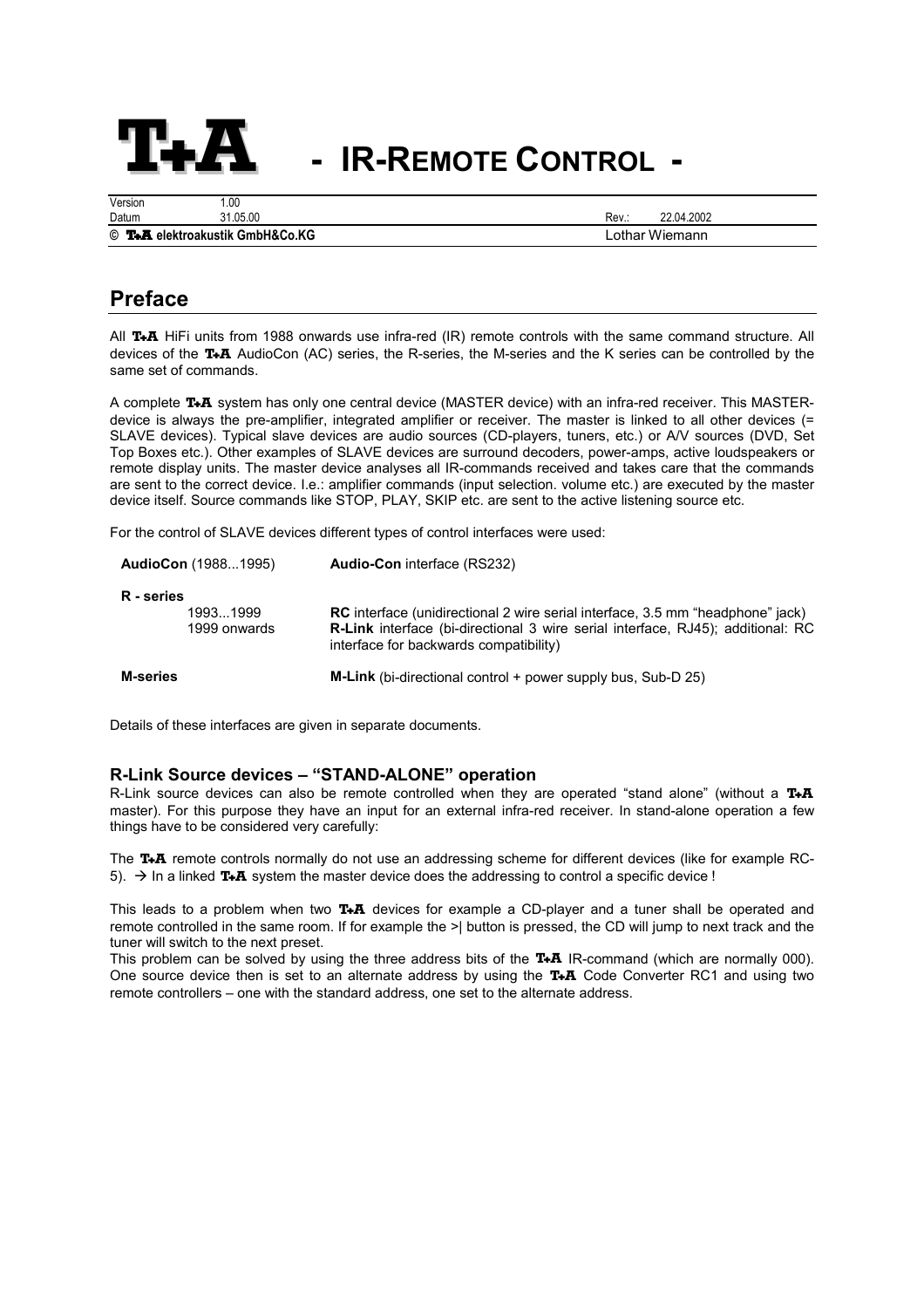

# **- IR-REMOTE CONTROL -**

| Version                         | .00      |      |                |
|---------------------------------|----------|------|----------------|
| Datum                           | 31.05.00 | Rev∴ | 22.04.2002     |
| © T.A elektroakustik GmbH&Co.KG |          |      | Lothar Wiemann |

## **Preface**

All **T<sub>+</sub>A** HiFi units from 1988 onwards use infra-red (IR) remote controls with the same command structure. All devices of the **T<sub>+</sub>A** AudioCon (AC) series, the R-series, the M-series and the K series can be controlled by the same set of commands.

A complete T<sub>\*</sub>A system has only one central device (MASTER device) with an infra-red receiver. This MASTERdevice is always the pre-amplifier, integrated amplifier or receiver. The master is linked to all other devices  $(=$ SLAVE devices). Typical slave devices are audio sources (CD-players, tuners, etc.) or A/V sources (DVD, Set Top Boxes etc.). Other examples of SLAVE devices are surround decoders, power-amps, active loudspeakers or remote display units. The master device analyses all IR-commands received and takes care that the commands are sent to the correct device. I.e.: amplifier commands (input selection. volume etc.) are executed by the master device itself. Source commands like STOP, PLAY, SKIP etc. are sent to the active listening source etc.

For the control of SLAVE devices different types of control interfaces were used:

|                 | <b>AudioCon</b> (19881995) | <b>Audio-Con</b> interface (RS232)                                                                                                                                                                                        |
|-----------------|----------------------------|---------------------------------------------------------------------------------------------------------------------------------------------------------------------------------------------------------------------------|
| R - series      | 19931999<br>1999 onwards   | <b>RC</b> interface (unidirectional 2 wire serial interface, 3.5 mm "headphone" jack)<br><b>R-Link</b> interface (bi-directional 3 wire serial interface, RJ45); additional: RC<br>interface for backwards compatibility) |
| <b>M-series</b> |                            | <b>M-Link</b> (bi-directional control $+$ power supply bus, Sub-D 25)                                                                                                                                                     |

Details of these interfaces are given in separate documents.

#### **R-Link Source devices – "STAND-ALONE" operation**

R-Link source devices can also be remote controlled when they are operated "stand alone" (without a  $T+A$ master). For this purpose they have an input for an external infra-red receiver. In stand-alone operation a few things have to be considered very carefully:

The T<sub>+</sub>A remote controls normally do not use an addressing scheme for different devices (like for example RC-5).  $\rightarrow$  In a linked T<sub>+</sub>A system the master device does the addressing to control a specific device !

This leads to a problem when two  $T \cdot A$  devices for example a CD-player and a tuner shall be operated and remote controlled in the same room. If for example the >| button is pressed, the CD will jump to next track and the tuner will switch to the next preset.

This problem can be solved by using the three address bits of the  $T+A$  IR-command (which are normally 000). One source device then is set to an alternate address by using the  $TA$  Code Converter RC1 and using two remote controllers – one with the standard address, one set to the alternate address.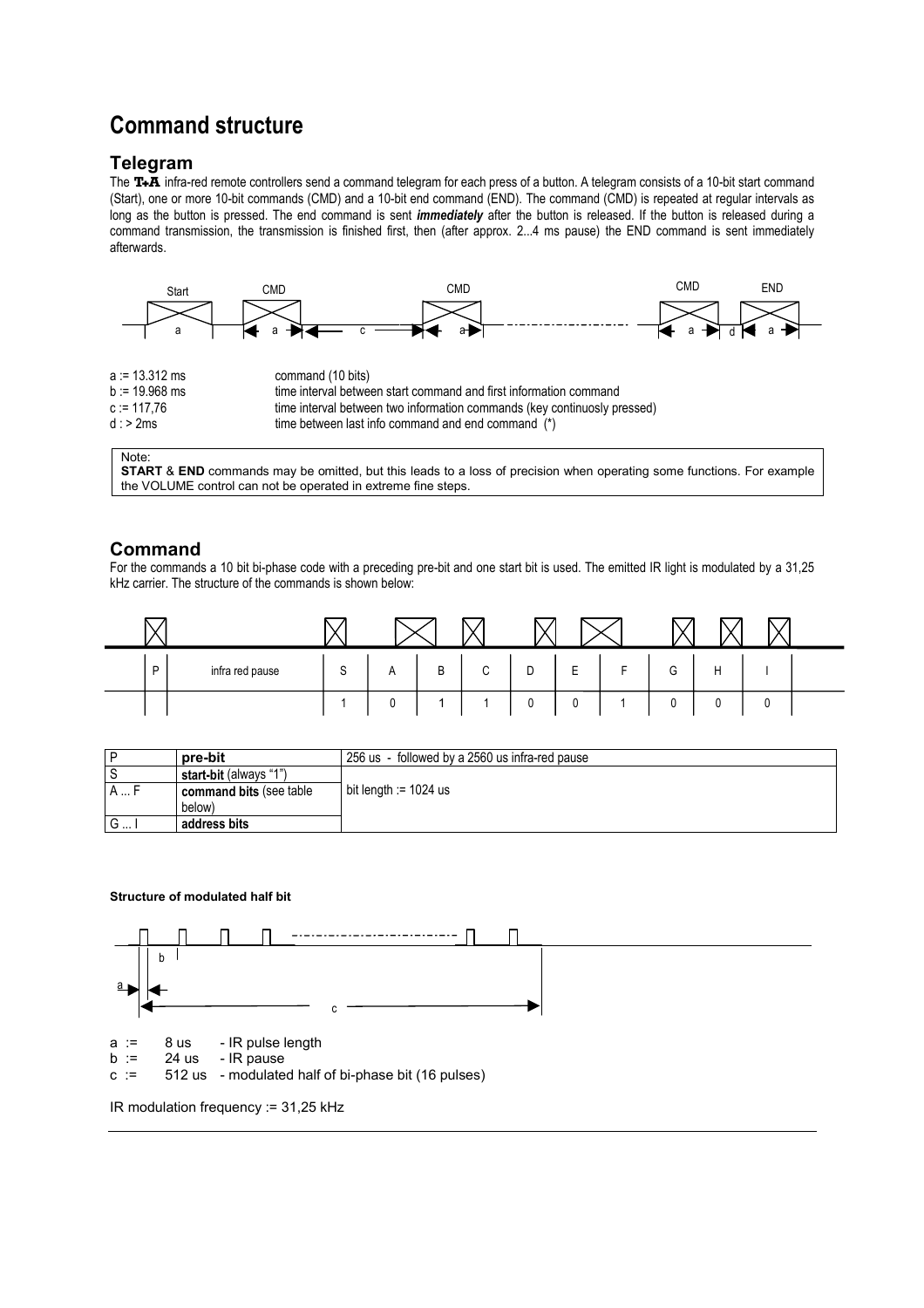## **Command structure**

### **Telegram**

The T+A infra-red remote controllers send a command telegram for each press of a button. A telegram consists of a 10-bit start command (Start), one or more 10-bit commands (CMD) and a 10-bit end command (END). The command (CMD) is repeated at regular intervals as long as the button is pressed. The end command is sent *immediately* after the button is released. If the button is released during a command transmission, the transmission is finished first, then (after approx. 2...4 ms pause) the END command is sent immediately afterwards.



Note:

**START** & **END** commands may be omitted, but this leads to a loss of precision when operating some functions. For example the VOLUME control can not be operated in extreme fine steps.

## **Command**

For the commands a 10 bit bi-phase code with a preceding pre-bit and one start bit is used. The emitted IR light is modulated by a 31,25 kHz carrier. The structure of the commands is shown below:

| D | infra red pause | S | A | B  | $\sim$<br>◡ | D           | $\overline{ }$<br>ᄇ | $\overline{a}$<br>ь. | G | Н |   |  |
|---|-----------------|---|---|----|-------------|-------------|---------------------|----------------------|---|---|---|--|
|   |                 |   | c | ×. |             | $\cap$<br>v | ν                   |                      | 0 | 0 | w |  |

|      | pre-bit                       | 256 us - followed by a 2560 us infra-red pause |
|------|-------------------------------|------------------------------------------------|
|      | <b>start-bit</b> (always "1") |                                                |
| A  F | command bits (see table       | bit length $:= 1024$ us                        |
|      | below)                        |                                                |
| G    | address bits                  |                                                |

#### **Structure of modulated half bit**



IR modulation frequency := 31,25 kHz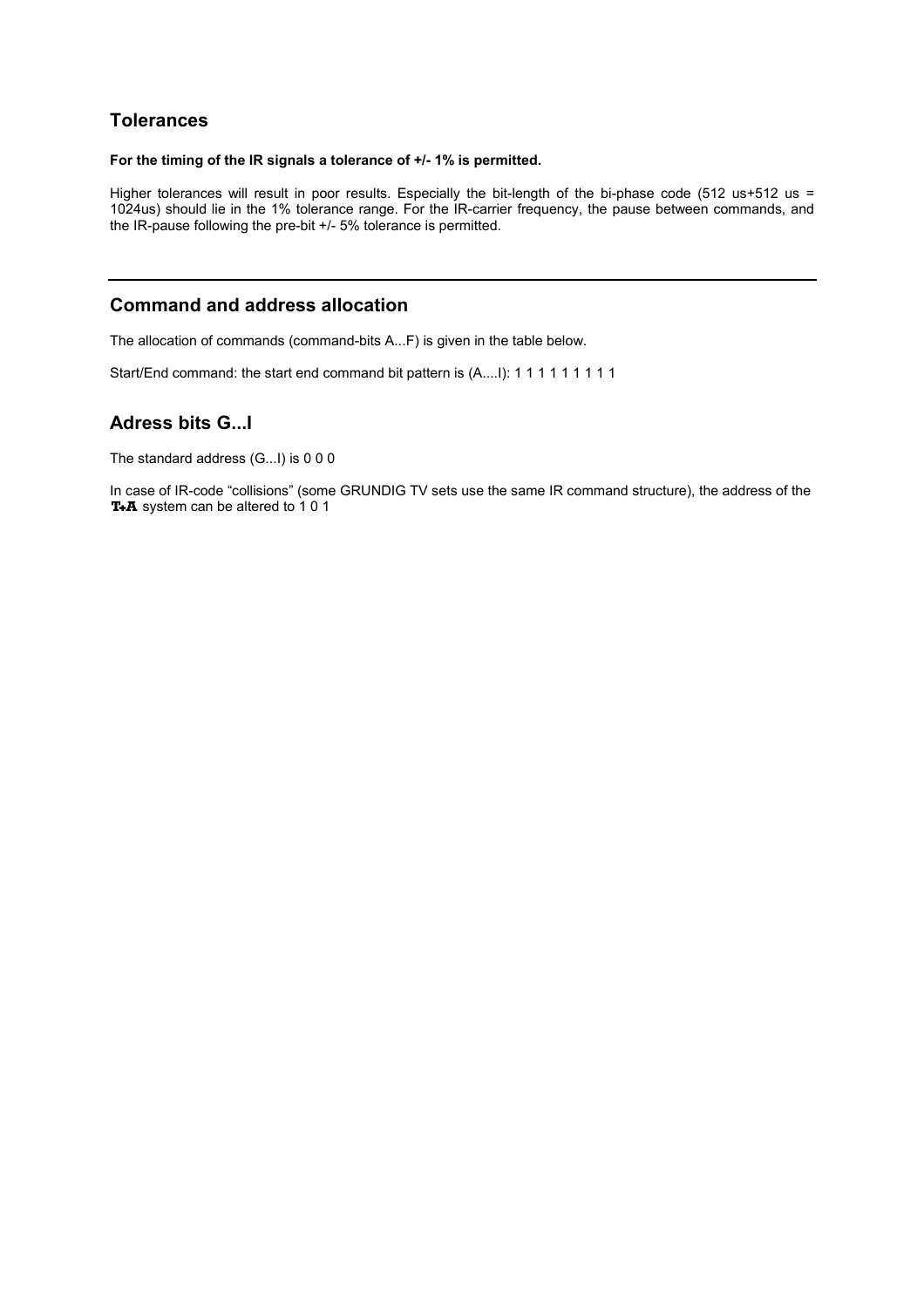## **Tolerances**

#### **For the timing of the IR signals a tolerance of +/- 1% is permitted.**

Higher tolerances will result in poor results. Especially the bit-length of the bi-phase code (512 us+512 us = 1024us) should lie in the 1% tolerance range. For the IR-carrier frequency, the pause between commands, and the IR-pause following the pre-bit +/- 5% tolerance is permitted.

## **Command and address allocation**

The allocation of commands (command-bits A...F) is given in the table below.

Start/End command: the start end command bit pattern is (A....I): 1 1 1 1 1 1 1 1 1 1

## **Adress bits G...I**

The standard address (G...I) is 0 0 0

In case of IR-code "collisions" (some GRUNDIG TV sets use the same IR command structure), the address of the T+A system can be altered to 10 1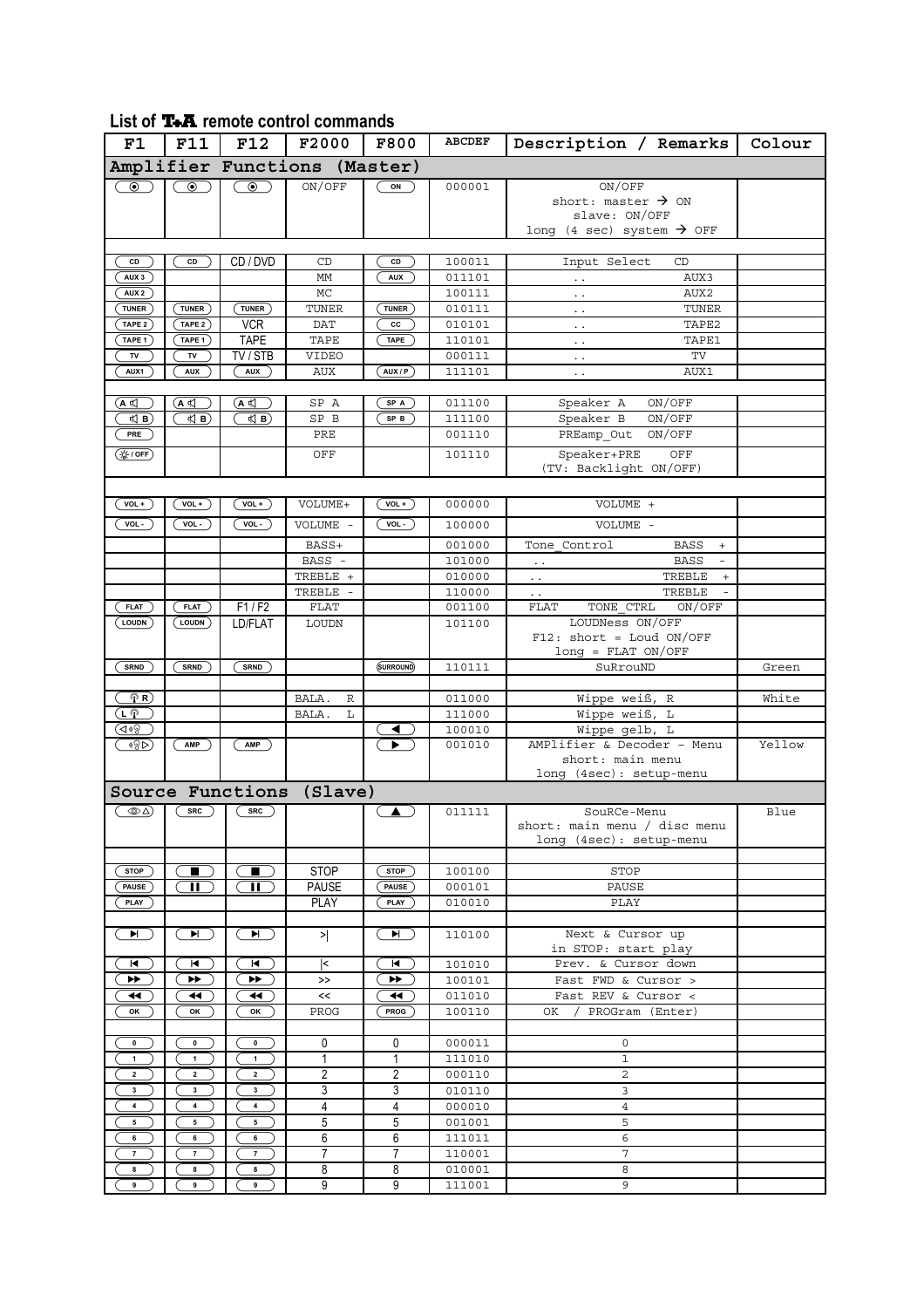## List of **T+A** remote control commands

| F1                               | <b>F11</b>       | <b>F12</b>                                                                              | F2000          | <b>F800</b>      | <b>ABCDEF</b>    | Description / Remarks                                  | Colour |  |  |
|----------------------------------|------------------|-----------------------------------------------------------------------------------------|----------------|------------------|------------------|--------------------------------------------------------|--------|--|--|
| Amplifier Functions (Master)     |                  |                                                                                         |                |                  |                  |                                                        |        |  |  |
| $\circledbullet$                 | $\circledbullet$ | $\odot$ )                                                                               | ON/OFF         | ON               | 000001           | ON/OFF                                                 |        |  |  |
|                                  |                  |                                                                                         |                |                  |                  | short: master $\rightarrow$ ON                         |        |  |  |
|                                  |                  |                                                                                         |                |                  |                  | slave: ON/OFF<br>long (4 sec) system $\rightarrow$ OFF |        |  |  |
|                                  |                  |                                                                                         |                |                  |                  |                                                        |        |  |  |
| CD                               | CD               | CD / DVD                                                                                | CD             | CD               | 100011           | Input Select<br>CD                                     |        |  |  |
| AUX <sub>3</sub>                 |                  |                                                                                         | MM             | <b>AUX</b>       | 011101           | AUX3<br>$\ddotsc$                                      |        |  |  |
| AUX <sub>2</sub><br><b>TUNER</b> | <b>TUNER</b>     | TUNER                                                                                   | MC<br>TUNER    | TUNER            | 100111<br>010111 | AUX2<br>$\ddot{\phantom{0}}$<br>TUNER                  |        |  |  |
| TAPE 2                           | TAPE 2           | <b>VCR</b>                                                                              | <b>DAT</b>     | cc               | 010101           | $\ddot{\phantom{0}}$<br>TAPE2<br>$\ddot{\phantom{0}}$  |        |  |  |
| TAPE 1                           | TAPE 1           | TAPE                                                                                    | TAPE           | <b>TAPE</b>      | 110101           | TAPE1<br>$\ddotsc$                                     |        |  |  |
| TV                               | TV               | TV / STB                                                                                | VIDEO          |                  | 000111           | $\operatorname{TV}$<br>$\ddot{\phantom{1}}$ .          |        |  |  |
| AUX1                             | <b>AUX</b>       | <b>AUX</b>                                                                              | <b>AUX</b>     | AUX / P          | 111101           | AUX1<br>$\ddot{\phantom{1}}$ .                         |        |  |  |
|                                  |                  |                                                                                         |                |                  |                  |                                                        |        |  |  |
| (A ¤〔                            | ้A ≮(            | $(A \notin)$                                                                            | SP A           | SP A             | 011100           | ON/OFF<br>Speaker A                                    |        |  |  |
| $\triangleleft$ B)               | ≮  В)            | <br><td>SP B</td> <td>SP B</td> <td>111100</td> <td>Speaker B<br/>ON/OFF</td> <td></td> | SP B           | SP B             | 111100           | Speaker B<br>ON/OFF                                    |        |  |  |
| PRE                              |                  |                                                                                         | PRE            |                  | 001110           | PREamp Out<br>ON/OFF                                   |        |  |  |
| $(\frac{1}{N} / 0 F)$            |                  |                                                                                         | OFF            |                  | 101110           | Speaker+PRE<br>OFF<br>(TV: Backlight ON/OFF)           |        |  |  |
|                                  |                  |                                                                                         |                |                  |                  |                                                        |        |  |  |
| $VOL+$                           | $VOL +$          | $VOL+$                                                                                  | VOLUME+        | $VOL+$           | 000000           | VOLUME +                                               |        |  |  |
| $VOL -$                          | $VOL -$          | $VOL - )$                                                                               | VOLUME -       | $VOL -$          | 100000           | VOLUME -                                               |        |  |  |
|                                  |                  |                                                                                         | BASS+          |                  | 001000           | Tone Control<br><b>BASS</b><br>$+$                     |        |  |  |
|                                  |                  |                                                                                         | BASS -         |                  | 101000           | <b>BASS</b><br>$\blacksquare$<br>$\ddotsc$             |        |  |  |
|                                  |                  |                                                                                         | TREBLE +       |                  | 010000           | TREBLE<br>$\! +$<br>$\ddot{\phantom{0}}$               |        |  |  |
|                                  |                  |                                                                                         | TREBLE -       |                  | 110000           | TREBLE<br>$\sim$ $\sim$                                |        |  |  |
| <b>FLAT</b>                      | <b>FLAT</b>      | F1/F2                                                                                   | FLAT           |                  | 001100           | <b>FLAT</b><br>TONE CTRL<br>ON/OFF                     |        |  |  |
| LOUDN                            | LOUDN            | LD/FLAT                                                                                 | LOUDN          |                  | 101100           | LOUDNess ON/OFF                                        |        |  |  |
|                                  |                  |                                                                                         |                |                  |                  | $F12: short = Loud ON/OFF$<br>$long = FLAT ON/OFF$     |        |  |  |
| <b>SRND</b>                      | <b>SRND</b>      | SRND                                                                                    |                | (SURROUND)       | 110111           | SuRrouND                                               | Green  |  |  |
|                                  |                  |                                                                                         |                |                  |                  |                                                        |        |  |  |
| $\mathcal{P}(\mathbf{R})$        |                  |                                                                                         | BALA.<br>R     |                  | 011000           | Wippe weiß, R                                          | White  |  |  |
| ட்டு                             |                  |                                                                                         | BALA.<br>L     |                  | 111000           | Wippe weiß, L                                          |        |  |  |
| ব*৪                              |                  |                                                                                         |                | ◀ ∶              | 100010           | Wippe gelb, L<br>AMPlifier & Decoder - Menu            |        |  |  |
| ¶8⊳)                             | AMP              | AMP                                                                                     |                | ▶                | 001010           | short: main menu                                       | Yellow |  |  |
|                                  |                  |                                                                                         |                |                  |                  | long (4sec): setup-menu                                |        |  |  |
| Source Functions (Slave)         |                  |                                                                                         |                |                  |                  |                                                        |        |  |  |
| $\circledcirc$                   | src              | $src$ )                                                                                 |                | $\blacktriangle$ | 011111           | SouRCe-Menu                                            | Blue   |  |  |
|                                  |                  |                                                                                         |                |                  |                  | short: main menu / disc menu                           |        |  |  |
|                                  |                  |                                                                                         |                |                  |                  | long (4sec): setup-menu                                |        |  |  |
| <b>STOP</b>                      | $\qquad \qquad$  | $\blacksquare$                                                                          | <b>STOP</b>    | <b>STOP</b>      | 100100           | STOP                                                   |        |  |  |
| <b>PAUSE</b>                     | Ш                | н.                                                                                      | <b>PAUSE</b>   | <b>PAUSE</b>     | 000101           | PAUSE                                                  |        |  |  |
| <b>PLAY</b>                      |                  |                                                                                         | PLAY           | PLAY             | 010010           | PLAY                                                   |        |  |  |
|                                  |                  |                                                                                         |                |                  |                  |                                                        |        |  |  |
| $\blacksquare$                   | $\blacksquare$   | $\blacksquare$                                                                          | ≻∣             | $\blacksquare$   | 110100           | Next & Cursor up                                       |        |  |  |
|                                  |                  |                                                                                         |                |                  |                  | in STOP: start play                                    |        |  |  |
| $\blacksquare$                   | K                | $\blacksquare$                                                                          | k              | $\blacksquare$   | 101010           | Prev. & Cursor down                                    |        |  |  |
| ▶▶<br>◀◀                         | ▶▶<br>◀◀         | ▶▶<br>◀◀                                                                                | >><br><<       | ▶▶<br>◀◀         | 100101<br>011010 | Fast FWD & Cursor ><br>Fast REV & Cursor <             |        |  |  |
| OK                               | ОΚ               | OK                                                                                      | PROG           | <b>PROG</b>      | 100110           | OK / PROGram (Enter)                                   |        |  |  |
|                                  |                  |                                                                                         |                |                  |                  |                                                        |        |  |  |
| $\pmb{0}$                        | $\pmb{0}$        | 0                                                                                       | 0              | 0                | 000011           | 0                                                      |        |  |  |
| $\mathbf{1}$                     | $\mathbf{1}$     | $\mathbf{1}$                                                                            | 1              | $\mathbf{1}$     | 111010           | $\mathbf{1}$                                           |        |  |  |
| $\overline{\mathbf{2}}$          | $\mathbf 2$      | $\mathbf{2}$                                                                            | 2              | 2                | 000110           | $\overline{2}$                                         |        |  |  |
| 3                                | 3                | 3                                                                                       | 3              | 3                | 010110           | 3                                                      |        |  |  |
| 4                                | 4                | 4                                                                                       | 4              | $\overline{4}$   | 000010           | $\overline{4}$                                         |        |  |  |
| ${\bf 5}$<br>6                   | 5<br>6           | 5<br>6                                                                                  | 5<br>6         | 5<br>6           | 001001<br>111011 | 5<br>6                                                 |        |  |  |
| $\overline{7}$                   | $\boldsymbol{7}$ | $\bf 7$                                                                                 | $\overline{7}$ | $\overline{7}$   | 110001           | $\overline{7}$                                         |        |  |  |
| 8                                | 8                | 8                                                                                       | 8              | 8                | 010001           | 8                                                      |        |  |  |
| 9                                | 9                | 9                                                                                       | 9              | 9                | 111001           | 9                                                      |        |  |  |